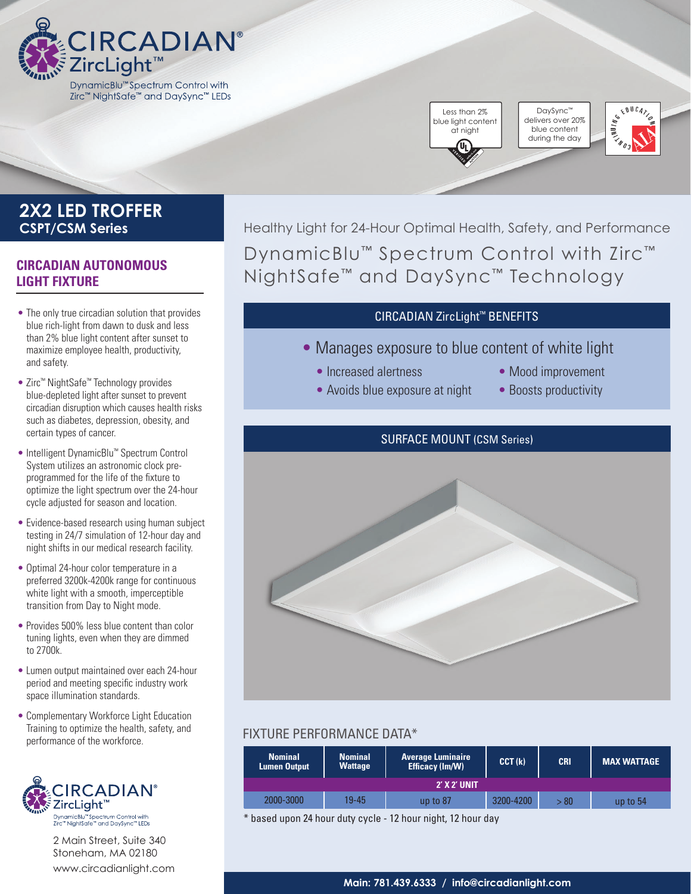

## Less than 2% blue light content at night

DaySync™ delivers over 20% blue content during the day



## **2X2 LED TROFFER CSPT/CSM Series**

## **CIRCADIAN AUTONOMOUS LIGHT FIXTURE**

- The only true circadian solution that provides blue rich-light from dawn to dusk and less than 2% blue light content after sunset to maximize employee health, productivity, and safety.
- Zirc™ NightSafe™ Technology provides blue-depleted light after sunset to prevent circadian disruption which causes health risks such as diabetes, depression, obesity, and certain types of cancer.
- Intelligent DynamicBlu™ Spectrum Control System utilizes an astronomic clock preprogrammed for the life of the fixture to optimize the light spectrum over the 24-hour cycle adjusted for season and location.
- Evidence-based research using human subject testing in 24/7 simulation of 12-hour day and night shifts in our medical research facility.
- Optimal 24-hour color temperature in a preferred 3200k-4200k range for continuous white light with a smooth, imperceptible transition from Day to Night mode.
- Provides 500% less blue content than color tuning lights, even when they are dimmed to 2700k.
- Lumen output maintained over each 24-hour period and meeting specific industry work space illumination standards.
- Complementary Workforce Light Education Training to optimize the health, safety, and performance of the workforce.



2 Main Street, Suite 340 Stoneham, MA 02180 [www.circadianlight.com](http://www.circadianlight.com)

Healthy Light for 24-Hour Optimal Health, Safety, and Performance DynamicBlu™ Spectrum Control with Zirc™ NightSafe™ and DaySync™ Technology

### CIRCADIAN ZircLight™ BENEFITS

- Manages exposure to blue content of white light
	- Increased alertness
	- Avoids blue exposure at night
- Mood improvement
- Boosts productivity

### SURFACE MOUNT (CSM Series)



## FIXTURE PERFORMANCE DATA\*

| <b>Nominal</b><br><b>Lumen Output</b> | <b>Nominal</b><br><b>Wattage</b> | <b>Average Luminaire</b><br>Efficacy (Im/W) | CCT(k)    | <b>CRI</b> | <b>MAX WATTAGE</b> |
|---------------------------------------|----------------------------------|---------------------------------------------|-----------|------------|--------------------|
| <b>2' X 2' UNIT</b>                   |                                  |                                             |           |            |                    |
| 2000-3000                             | 19-45                            | up to $87$                                  | 3200-4200 | >80        | up to $54$         |

\* based upon 24 hour duty cycle - 12 hour night, 12 hour day